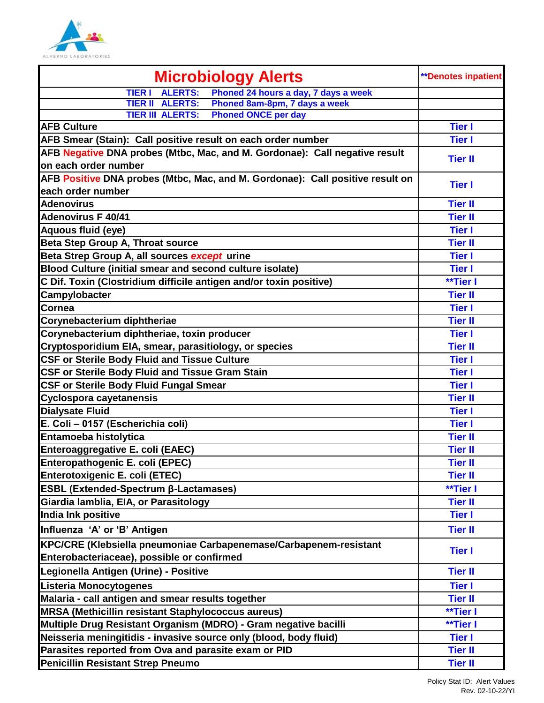

| <b>Microbiology Alerts</b>                                                                         | <b>**Denotes inpatient</b> |
|----------------------------------------------------------------------------------------------------|----------------------------|
| <b>ALERTS:</b><br>Phoned 24 hours a day, 7 days a week<br><b>TIER I</b>                            |                            |
| Phoned 8am-8pm, 7 days a week<br><b>TIER II ALERTS:</b>                                            |                            |
| <b>Phoned ONCE per day</b><br><b>TIER III ALERTS:</b>                                              |                            |
| <b>AFB Culture</b>                                                                                 | <b>Tier I</b>              |
| AFB Smear (Stain): Call positive result on each order number                                       | <b>Tier I</b>              |
| AFB Negative DNA probes (Mtbc, Mac, and M. Gordonae): Call negative result<br>on each order number | <b>Tier II</b>             |
| AFB Positive DNA probes (Mtbc, Mac, and M. Gordonae): Call positive result on<br>each order number | <b>Tier I</b>              |
| <b>Adenovirus</b>                                                                                  | <b>Tier II</b>             |
| <b>Adenovirus F 40/41</b>                                                                          | <b>Tier II</b>             |
| Aquous fluid (eye)                                                                                 | <b>Tier I</b>              |
| <b>Beta Step Group A, Throat source</b>                                                            | <b>Tier II</b>             |
| Beta Strep Group A, all sources except urine                                                       | <b>Tier I</b>              |
| Blood Culture (initial smear and second culture isolate)                                           | <b>Tier I</b>              |
| C Dif. Toxin (Clostridium difficile antigen and/or toxin positive)                                 | **Tier I                   |
| Campylobacter                                                                                      | <b>Tier II</b>             |
| Cornea                                                                                             | <b>Tier I</b>              |
| Corynebacterium diphtheriae                                                                        | <b>Tier II</b>             |
| Corynebacterium diphtheriae, toxin producer                                                        | <b>Tier I</b>              |
| Cryptosporidium EIA, smear, parasitiology, or species                                              | <b>Tier II</b>             |
| <b>CSF or Sterile Body Fluid and Tissue Culture</b>                                                | <b>Tier I</b>              |
| <b>CSF or Sterile Body Fluid and Tissue Gram Stain</b>                                             | <b>Tier I</b>              |
| <b>CSF or Sterile Body Fluid Fungal Smear</b>                                                      | <b>Tier I</b>              |
| <b>Cyclospora cayetanensis</b>                                                                     | <b>Tier II</b>             |
| <b>Dialysate Fluid</b>                                                                             | <b>Tier I</b>              |
| E. Coli - 0157 (Escherichia coli)                                                                  | <b>Tier I</b>              |
| Entamoeba histolytica                                                                              | <b>Tier II</b>             |
| Enteroaggregative E. coli (EAEC)                                                                   | <b>Tier II</b>             |
| Enteropathogenic E. coli (EPEC)                                                                    | <b>Tier II</b>             |
| Enterotoxigenic E. coli (ETEC)                                                                     | <b>Tier II</b>             |
| <b>ESBL (Extended-Spectrum β-Lactamases)</b>                                                       | **Tier I                   |
| Giardia lamblia, EIA, or Parasitology                                                              | <b>Tier II</b>             |
| India Ink positive                                                                                 | <b>Tier I</b>              |
| Influenza 'A' or 'B' Antigen                                                                       | <b>Tier II</b>             |
| KPC/CRE (Klebsiella pneumoniae Carbapenemase/Carbapenem-resistant                                  | <b>Tier I</b>              |
| Enterobacteriaceae), possible or confirmed                                                         |                            |
| Legionella Antigen (Urine) - Positive                                                              | <b>Tier II</b>             |
| <b>Listeria Monocytogenes</b>                                                                      | <b>Tier I</b>              |
| Malaria - call antigen and smear results together                                                  | <b>Tier II</b>             |
| MRSA (Methicillin resistant Staphylococcus aureus)                                                 | **Tier I                   |
| Multiple Drug Resistant Organism (MDRO) - Gram negative bacilli                                    | **Tier I                   |
| Neisseria meningitidis - invasive source only (blood, body fluid)                                  | <b>Tier I</b>              |
| Parasites reported from Ova and parasite exam or PID                                               | <b>Tier II</b>             |
| <b>Penicillin Resistant Strep Pneumo</b>                                                           | <b>Tier II</b>             |